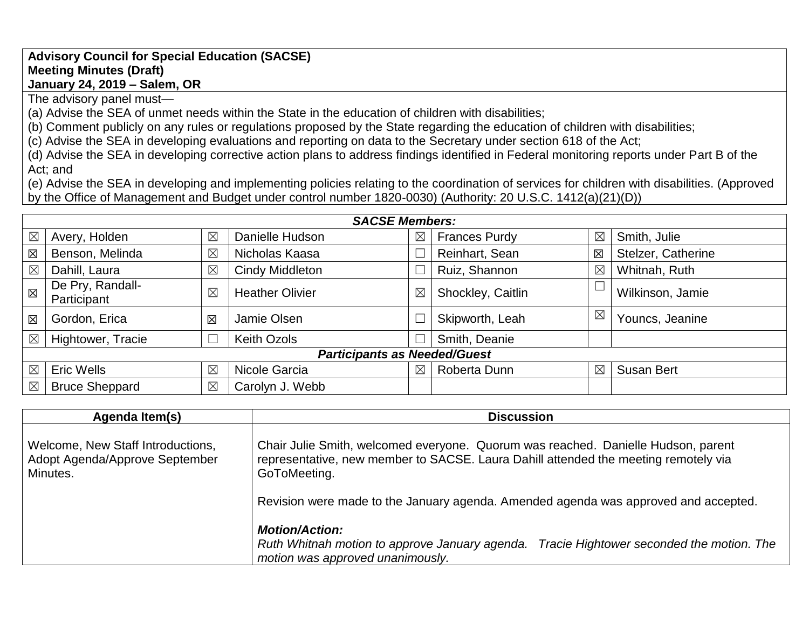## **Advisory Council for Special Education (SACSE) Meeting Minutes (Draft) January 24, 2019 – Salem, OR**

The advisory panel must—

(a) Advise the SEA of unmet needs within the State in the education of children with disabilities;

(b) Comment publicly on any rules or regulations proposed by the State regarding the education of children with disabilities;

(c) Advise the SEA in developing evaluations and reporting on data to the Secretary under section 618 of the Act;

(d) Advise the SEA in developing corrective action plans to address findings identified in Federal monitoring reports under Part B of the Act; and

(e) Advise the SEA in developing and implementing policies relating to the coordination of services for children with disabilities. (Approved by the Office of Management and Budget under control number 1820-0030) (Authority: 20 U.S.C. 1412(a)(21)(D))

| <b>SACSE Members:</b>               |                                 |             |                        |             |                      |             |                    |
|-------------------------------------|---------------------------------|-------------|------------------------|-------------|----------------------|-------------|--------------------|
| $\boxtimes$                         | Avery, Holden                   | $\boxtimes$ | Danielle Hudson        | $\boxtimes$ | <b>Frances Purdy</b> | $\boxtimes$ | Smith, Julie       |
| 区                                   | Benson, Melinda                 | $\boxtimes$ | Nicholas Kaasa         |             | Reinhart, Sean       | 区           | Stelzer, Catherine |
| $\boxtimes$                         | Dahill, Laura                   | $\boxtimes$ | <b>Cindy Middleton</b> |             | Ruiz, Shannon        | $\boxtimes$ | Whitnah, Ruth      |
| 区                                   | De Pry, Randall-<br>Participant | $\boxtimes$ | <b>Heather Olivier</b> | $\boxtimes$ | Shockley, Caitlin    |             | Wilkinson, Jamie   |
| 区                                   | Gordon, Erica                   | 区           | Jamie Olsen            |             | Skipworth, Leah      | $\boxtimes$ | Youncs, Jeanine    |
| $\boxtimes$                         | Hightower, Tracie               |             | <b>Keith Ozols</b>     |             | Smith, Deanie        |             |                    |
| <b>Participants as Needed/Guest</b> |                                 |             |                        |             |                      |             |                    |
| $\boxtimes$                         | <b>Eric Wells</b>               | $\boxtimes$ | Nicole Garcia          | $\boxtimes$ | Roberta Dunn         | $\boxtimes$ | <b>Susan Bert</b>  |
| $\boxtimes$                         | <b>Bruce Sheppard</b>           | $\boxtimes$ | Carolyn J. Webb        |             |                      |             |                    |

| Agenda Item(s)                                                                  | <b>Discussion</b>                                                                                                                                                                                                                                                               |
|---------------------------------------------------------------------------------|---------------------------------------------------------------------------------------------------------------------------------------------------------------------------------------------------------------------------------------------------------------------------------|
| Welcome, New Staff Introductions,<br>Adopt Agenda/Approve September<br>Minutes. | Chair Julie Smith, welcomed everyone. Quorum was reached. Danielle Hudson, parent<br>representative, new member to SACSE. Laura Dahill attended the meeting remotely via<br>GoToMeeting.<br>Revision were made to the January agenda. Amended agenda was approved and accepted. |
|                                                                                 | <b>Motion/Action:</b><br>Ruth Whitnah motion to approve January agenda.<br>Tracie Hightower seconded the motion. The<br>motion was approved unanimously.                                                                                                                        |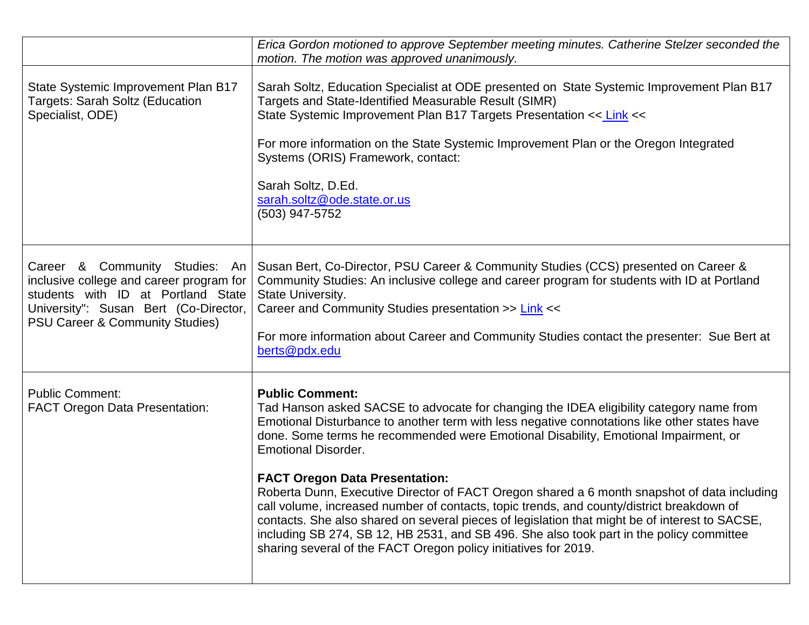|                                                                                                                                                                                                         | Erica Gordon motioned to approve September meeting minutes. Catherine Stelzer seconded the<br>motion. The motion was approved unanimously.                                                                                                                                                                                                                                                                                                                                                                                                                                                                                                                                                                                                                                                                                                   |
|---------------------------------------------------------------------------------------------------------------------------------------------------------------------------------------------------------|----------------------------------------------------------------------------------------------------------------------------------------------------------------------------------------------------------------------------------------------------------------------------------------------------------------------------------------------------------------------------------------------------------------------------------------------------------------------------------------------------------------------------------------------------------------------------------------------------------------------------------------------------------------------------------------------------------------------------------------------------------------------------------------------------------------------------------------------|
| State Systemic Improvement Plan B17<br><b>Targets: Sarah Soltz (Education</b><br>Specialist, ODE)                                                                                                       | Sarah Soltz, Education Specialist at ODE presented on State Systemic Improvement Plan B17<br>Targets and State-Identified Measurable Result (SIMR)<br>State Systemic Improvement Plan B17 Targets Presentation << Link <<<br>For more information on the State Systemic Improvement Plan or the Oregon Integrated<br>Systems (ORIS) Framework, contact:<br>Sarah Soltz, D.Ed.<br>sarah.soltz@ode.state.or.us<br>(503) 947-5752                                                                                                                                                                                                                                                                                                                                                                                                               |
| Career & Community Studies: An<br>inclusive college and career program for<br>students with ID at Portland State<br>University": Susan Bert (Co-Director,<br><b>PSU Career &amp; Community Studies)</b> | Susan Bert, Co-Director, PSU Career & Community Studies (CCS) presented on Career &<br>Community Studies: An inclusive college and career program for students with ID at Portland<br>State University.<br>Career and Community Studies presentation >> Link <<<br>For more information about Career and Community Studies contact the presenter: Sue Bert at<br>berts@pdx.edu                                                                                                                                                                                                                                                                                                                                                                                                                                                               |
| <b>Public Comment:</b><br><b>FACT Oregon Data Presentation:</b>                                                                                                                                         | <b>Public Comment:</b><br>Tad Hanson asked SACSE to advocate for changing the IDEA eligibility category name from<br>Emotional Disturbance to another term with less negative connotations like other states have<br>done. Some terms he recommended were Emotional Disability, Emotional Impairment, or<br><b>Emotional Disorder.</b><br><b>FACT Oregon Data Presentation:</b><br>Roberta Dunn, Executive Director of FACT Oregon shared a 6 month snapshot of data including<br>call volume, increased number of contacts, topic trends, and county/district breakdown of<br>contacts. She also shared on several pieces of legislation that might be of interest to SACSE,<br>including SB 274, SB 12, HB 2531, and SB 496. She also took part in the policy committee<br>sharing several of the FACT Oregon policy initiatives for 2019. |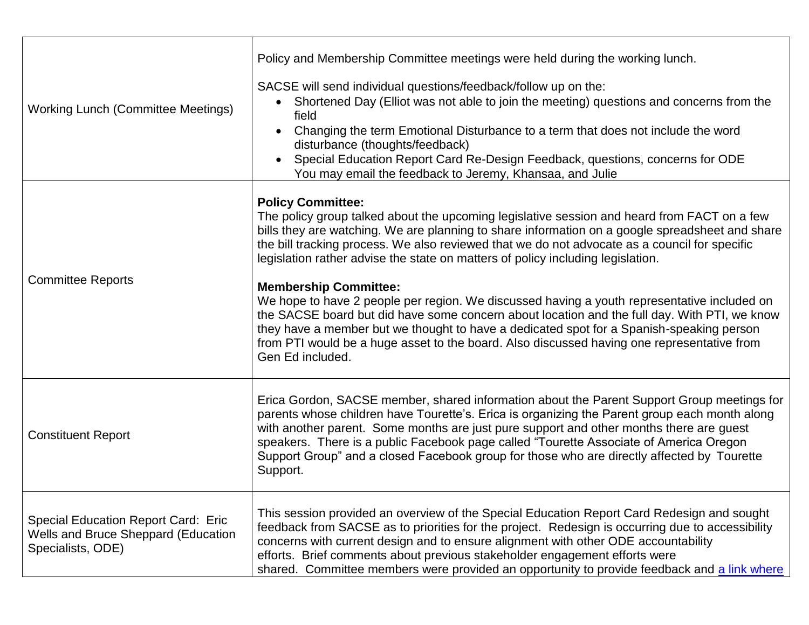| <b>Working Lunch (Committee Meetings)</b>                                                              | Policy and Membership Committee meetings were held during the working lunch.<br>SACSE will send individual questions/feedback/follow up on the:<br>Shortened Day (Elliot was not able to join the meeting) questions and concerns from the<br>$\bullet$<br>field<br>Changing the term Emotional Disturbance to a term that does not include the word<br>disturbance (thoughts/feedback)<br>Special Education Report Card Re-Design Feedback, questions, concerns for ODE<br>You may email the feedback to Jeremy, Khansaa, and Julie                                                                                                                                                                                                                                                                                                                        |
|--------------------------------------------------------------------------------------------------------|-------------------------------------------------------------------------------------------------------------------------------------------------------------------------------------------------------------------------------------------------------------------------------------------------------------------------------------------------------------------------------------------------------------------------------------------------------------------------------------------------------------------------------------------------------------------------------------------------------------------------------------------------------------------------------------------------------------------------------------------------------------------------------------------------------------------------------------------------------------|
| <b>Committee Reports</b>                                                                               | <b>Policy Committee:</b><br>The policy group talked about the upcoming legislative session and heard from FACT on a few<br>bills they are watching. We are planning to share information on a google spreadsheet and share<br>the bill tracking process. We also reviewed that we do not advocate as a council for specific<br>legislation rather advise the state on matters of policy including legislation.<br><b>Membership Committee:</b><br>We hope to have 2 people per region. We discussed having a youth representative included on<br>the SACSE board but did have some concern about location and the full day. With PTI, we know<br>they have a member but we thought to have a dedicated spot for a Spanish-speaking person<br>from PTI would be a huge asset to the board. Also discussed having one representative from<br>Gen Ed included. |
| <b>Constituent Report</b>                                                                              | Erica Gordon, SACSE member, shared information about the Parent Support Group meetings for<br>parents whose children have Tourette's. Erica is organizing the Parent group each month along<br>with another parent. Some months are just pure support and other months there are guest<br>speakers. There is a public Facebook page called "Tourette Associate of America Oregon<br>Support Group" and a closed Facebook group for those who are directly affected by Tourette<br>Support.                                                                                                                                                                                                                                                                                                                                                                  |
| <b>Special Education Report Card: Eric</b><br>Wells and Bruce Sheppard (Education<br>Specialists, ODE) | This session provided an overview of the Special Education Report Card Redesign and sought<br>feedback from SACSE as to priorities for the project. Redesign is occurring due to accessibility<br>concerns with current design and to ensure alignment with other ODE accountability<br>efforts. Brief comments about previous stakeholder engagement efforts were<br>shared. Committee members were provided an opportunity to provide feedback and a link where                                                                                                                                                                                                                                                                                                                                                                                           |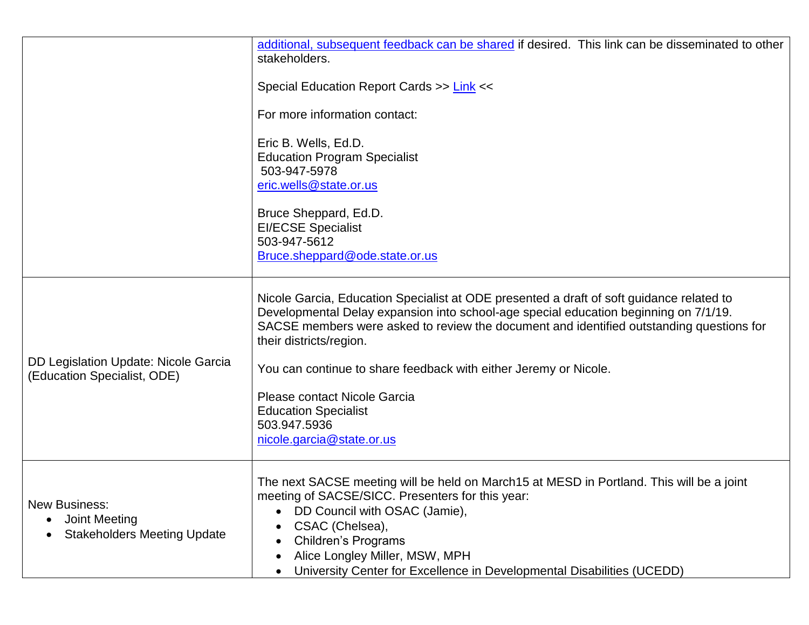|                                                                                    | additional, subsequent feedback can be shared if desired. This link can be disseminated to other<br>stakeholders.                                                                                                                                                                                                                          |  |
|------------------------------------------------------------------------------------|--------------------------------------------------------------------------------------------------------------------------------------------------------------------------------------------------------------------------------------------------------------------------------------------------------------------------------------------|--|
|                                                                                    | Special Education Report Cards >> Link <<                                                                                                                                                                                                                                                                                                  |  |
|                                                                                    | For more information contact:                                                                                                                                                                                                                                                                                                              |  |
|                                                                                    | Eric B. Wells, Ed.D.<br><b>Education Program Specialist</b><br>503-947-5978<br>eric.wells@state.or.us                                                                                                                                                                                                                                      |  |
|                                                                                    | Bruce Sheppard, Ed.D.<br><b>EI/ECSE Specialist</b><br>503-947-5612<br>Bruce.sheppard@ode.state.or.us                                                                                                                                                                                                                                       |  |
|                                                                                    | Nicole Garcia, Education Specialist at ODE presented a draft of soft guidance related to<br>Developmental Delay expansion into school-age special education beginning on 7/1/19.<br>SACSE members were asked to review the document and identified outstanding questions for<br>their districts/region.                                    |  |
| <b>DD Legislation Update: Nicole Garcia</b><br>(Education Specialist, ODE)         | You can continue to share feedback with either Jeremy or Nicole.                                                                                                                                                                                                                                                                           |  |
|                                                                                    | Please contact Nicole Garcia<br><b>Education Specialist</b><br>503.947.5936<br>nicole.garcia@state.or.us                                                                                                                                                                                                                                   |  |
| <b>New Business:</b><br><b>Joint Meeting</b><br><b>Stakeholders Meeting Update</b> | The next SACSE meeting will be held on March15 at MESD in Portland. This will be a joint<br>meeting of SACSE/SICC. Presenters for this year:<br>DD Council with OSAC (Jamie),<br>CSAC (Chelsea),<br><b>Children's Programs</b><br>Alice Longley Miller, MSW, MPH<br>University Center for Excellence in Developmental Disabilities (UCEDD) |  |